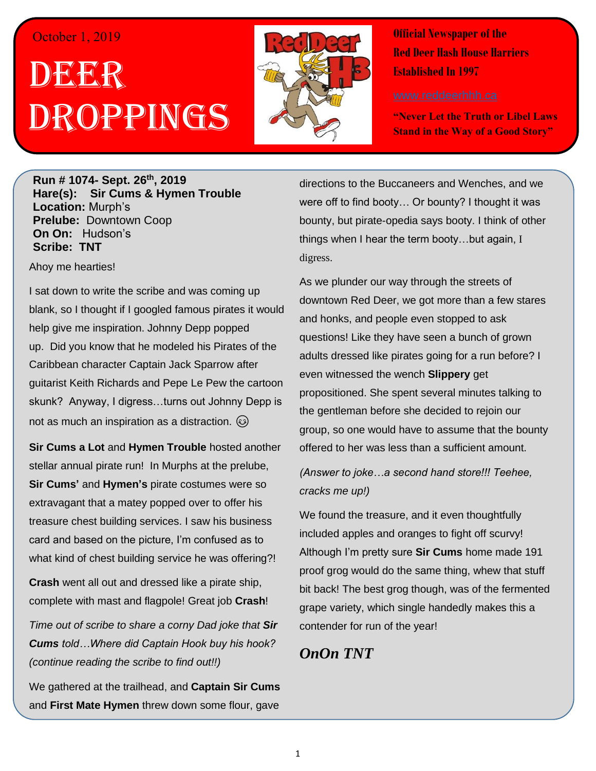## October 1, 2019

## DEER h Droppings



**Official Newspaper of the Red Deer Hash House Harriers Established In 1997** 

**"Never Let the Truth or Libel Laws Stand in the Way of a Good Story"**

**Run # 1074- Sept. 26th, 2019 Hare(s): Sir Cums & Hymen Trouble Location:** Murph's **Prelube:** Downtown Coop **On On:** Hudson's **Scribe: TNT**

Ahoy me hearties!

I sat down to write the scribe and was coming up blank, so I thought if I googled famous pirates it would help give me inspiration. Johnny Depp popped up. Did you know that he modeled his Pirates of the Caribbean character Captain Jack Sparrow after guitarist Keith Richards and Pepe Le Pew the cartoon skunk? Anyway, I digress…turns out Johnny Depp is not as much an inspiration as a distraction.  $\circled{e}$ 

**Sir Cums a Lot** and **Hymen Trouble** hosted another stellar annual pirate run! In Murphs at the prelube, **Sir Cums'** and **Hymen's** pirate costumes were so extravagant that a matey popped over to offer his treasure chest building services. I saw his business card and based on the picture, I'm confused as to what kind of chest building service he was offering?!

**Crash** went all out and dressed like a pirate ship, complete with mast and flagpole! Great job **Crash**!

*Time out of scribe to share a corny Dad joke that Sir Cums told…Where did Captain Hook buy his hook? (continue reading the scribe to find out!!)*

We gathered at the trailhead, and **Captain Sir Cums** and **First Mate Hymen** threw down some flour, gave

directions to the Buccaneers and Wenches, and we were off to find booty… Or bounty? I thought it was bounty, but pirate-opedia says booty. I think of other things when I hear the term booty…but again, I digress.

As we plunder our way through the streets of downtown Red Deer, we got more than a few stares and honks, and people even stopped to ask questions! Like they have seen a bunch of grown adults dressed like pirates going for a run before? I even witnessed the wench **Slippery** get propositioned. She spent several minutes talking to the gentleman before she decided to rejoin our group, so one would have to assume that the bounty offered to her was less than a sufficient amount.

*(Answer to joke…a second hand store!!! Teehee, cracks me up!)*

We found the treasure, and it even thoughtfully included apples and oranges to fight off scurvy! Although I'm pretty sure **Sir Cums** home made 191 proof grog would do the same thing, whew that stuff bit back! The best grog though, was of the fermented grape variety, which single handedly makes this a contender for run of the year!

## *OnOn TNT*